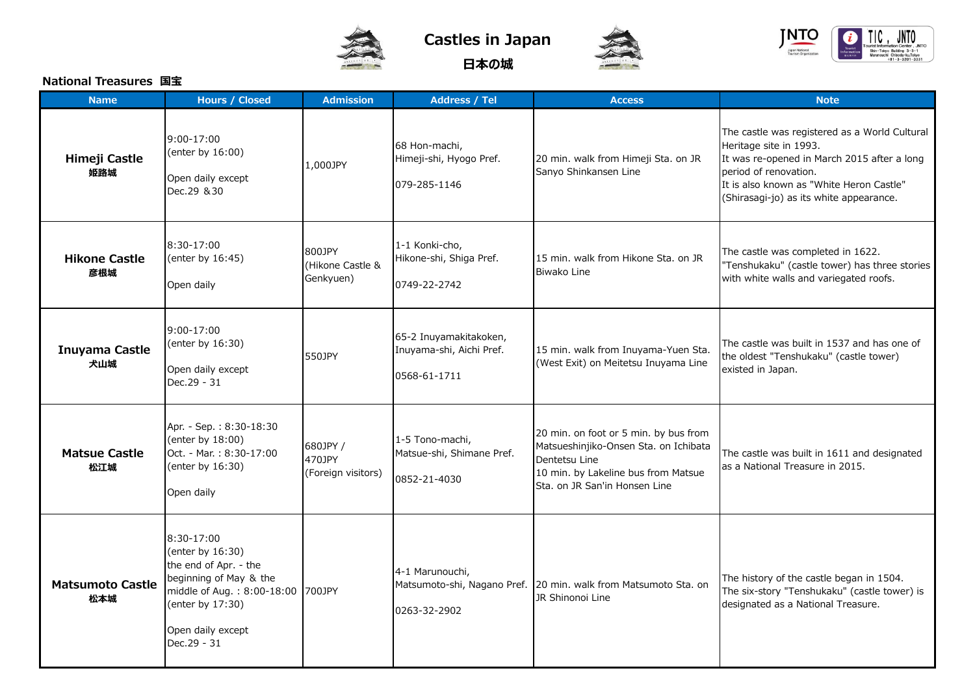

**Castles in Japan**

**日本の城**





## **National Treasures 国宝**

| <b>Name</b>                    | <b>Hours / Closed</b>                                                                                                                                                          | <b>Admission</b>                         | <b>Address / Tel</b>                                               | <b>Access</b>                                                                                                                                                           | <b>Note</b>                                                                                                                                                                                                                            |
|--------------------------------|--------------------------------------------------------------------------------------------------------------------------------------------------------------------------------|------------------------------------------|--------------------------------------------------------------------|-------------------------------------------------------------------------------------------------------------------------------------------------------------------------|----------------------------------------------------------------------------------------------------------------------------------------------------------------------------------------------------------------------------------------|
| Himeji Castle<br>姫路城           | 9:00-17:00<br>(enter by 16:00)<br>Open daily except<br>Dec.29 & 30                                                                                                             | 1,000JPY                                 | 68 Hon-machi,<br>Himeji-shi, Hyogo Pref.<br>079-285-1146           | 20 min. walk from Himeji Sta. on JR<br>Sanyo Shinkansen Line                                                                                                            | The castle was registered as a World Cultural<br>Heritage site in 1993.<br>It was re-opened in March 2015 after a long<br>period of renovation.<br>It is also known as "White Heron Castle"<br>(Shirasagi-jo) as its white appearance. |
| <b>Hikone Castle</b><br>彦根城    | 8:30-17:00<br>(enter by 16:45)<br>Open daily                                                                                                                                   | 800JPY<br>(Hikone Castle &<br>Genkyuen)  | 1-1 Konki-cho,<br>Hikone-shi, Shiga Pref.<br>0749-22-2742          | 15 min. walk from Hikone Sta. on JR<br><b>Biwako Line</b>                                                                                                               | The castle was completed in 1622.<br>"Tenshukaku" (castle tower) has three stories<br>with white walls and variegated roofs.                                                                                                           |
| Inuyama Castle<br>犬山城          | 9:00-17:00<br>(enter by 16:30)<br>Open daily except<br>Dec.29 - 31                                                                                                             | 550JPY                                   | 65-2 Inuyamakitakoken,<br>Inuyama-shi, Aichi Pref.<br>0568-61-1711 | 15 min. walk from Inuyama-Yuen Sta.<br>(West Exit) on Meitetsu Inuyama Line                                                                                             | The castle was built in 1537 and has one of<br>the oldest "Tenshukaku" (castle tower)<br>existed in Japan.                                                                                                                             |
| <b>Matsue Castle</b><br>松江城    | Apr. - Sep.: 8:30-18:30<br>(enter by 18:00)<br>Oct. - Mar.: 8:30-17:00<br>(enter by 16:30)<br>Open daily                                                                       | 680JPY /<br>470JPY<br>(Foreign visitors) | 1-5 Tono-machi,<br>Matsue-shi, Shimane Pref.<br>0852-21-4030       | 20 min. on foot or 5 min. by bus from<br>Matsueshinjiko-Onsen Sta. on Ichibata<br>Dentetsu Line<br>10 min. by Lakeline bus from Matsue<br>Sta. on JR San'in Honsen Line | The castle was built in 1611 and designated<br>as a National Treasure in 2015.                                                                                                                                                         |
| <b>Matsumoto Castle</b><br>松本城 | 8:30-17:00<br>(enter by 16:30)<br>the end of Apr. - the<br>beginning of May & the<br>middle of Aug.: 8:00-18:00 700JPY<br>(enter by 17:30)<br>Open daily except<br>Dec.29 - 31 |                                          | 4-1 Marunouchi,<br>0263-32-2902                                    | Matsumoto-shi, Nagano Pref. 20 min. walk from Matsumoto Sta. on<br>JR Shinonoi Line                                                                                     | The history of the castle began in 1504.<br>The six-story "Tenshukaku" (castle tower) is<br>designated as a National Treasure.                                                                                                         |